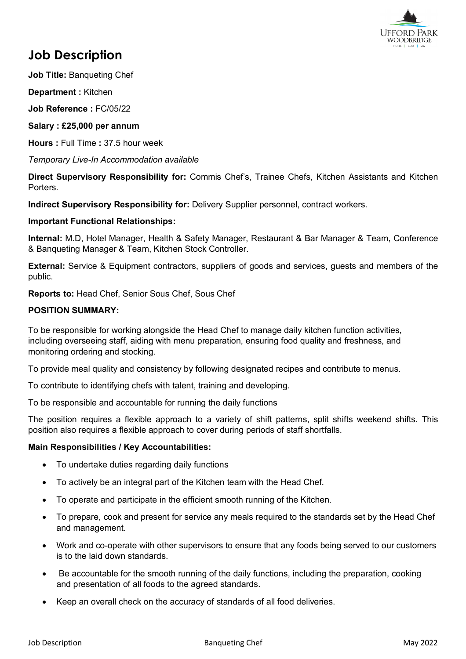

# **Job Description**

**Job Title:** Banqueting Chef

**Department :** Kitchen

**Job Reference :** FC/05/22

### **Salary : £25,000 per annum**

**Hours :** Full Time **:** 37.5 hour week

*Temporary Live-In Accommodation available*

**Direct Supervisory Responsibility for:** Commis Chef's, Trainee Chefs, Kitchen Assistants and Kitchen Porters.

**Indirect Supervisory Responsibility for:** Delivery Supplier personnel, contract workers.

#### **Important Functional Relationships:**

**Internal:** M.D, Hotel Manager, Health & Safety Manager, Restaurant & Bar Manager & Team, Conference & Banqueting Manager & Team, Kitchen Stock Controller.

**External:** Service & Equipment contractors, suppliers of goods and services, guests and members of the public.

**Reports to:** Head Chef, Senior Sous Chef, Sous Chef

# **POSITION SUMMARY:**

To be responsible for working alongside the Head Chef to manage daily kitchen function activities, including overseeing staff, aiding with menu preparation, ensuring food quality and freshness, and monitoring ordering and stocking.

To provide meal quality and consistency by following designated recipes and contribute to menus.

To contribute to identifying chefs with talent, training and developing.

To be responsible and accountable for running the daily functions

The position requires a flexible approach to a variety of shift patterns, split shifts weekend shifts. This position also requires a flexible approach to cover during periods of staff shortfalls.

#### **Main Responsibilities / Key Accountabilities:**

- To undertake duties regarding daily functions
- To actively be an integral part of the Kitchen team with the Head Chef.
- To operate and participate in the efficient smooth running of the Kitchen.
- To prepare, cook and present for service any meals required to the standards set by the Head Chef and management.
- Work and co-operate with other supervisors to ensure that any foods being served to our customers is to the laid down standards.
- Be accountable for the smooth running of the daily functions, including the preparation, cooking and presentation of all foods to the agreed standards.
- Keep an overall check on the accuracy of standards of all food deliveries.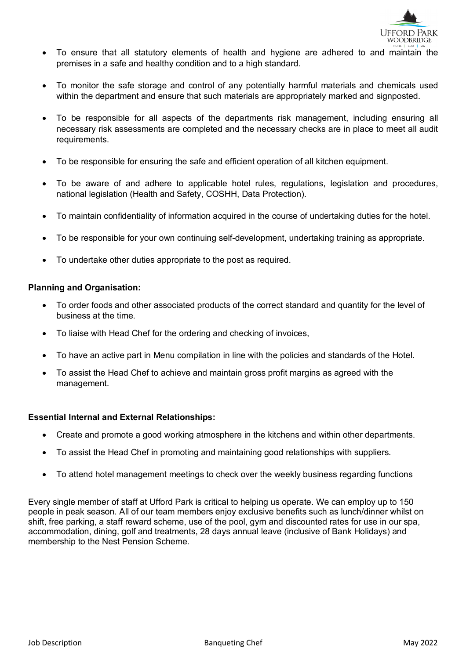

- To ensure that all statutory elements of health and hygiene are adhered to and maintain the premises in a safe and healthy condition and to a high standard.
- To monitor the safe storage and control of any potentially harmful materials and chemicals used within the department and ensure that such materials are appropriately marked and signposted.
- To be responsible for all aspects of the departments risk management, including ensuring all necessary risk assessments are completed and the necessary checks are in place to meet all audit requirements.
- To be responsible for ensuring the safe and efficient operation of all kitchen equipment.
- To be aware of and adhere to applicable hotel rules, regulations, legislation and procedures, national legislation (Health and Safety, COSHH, Data Protection).
- To maintain confidentiality of information acquired in the course of undertaking duties for the hotel.
- To be responsible for your own continuing self-development, undertaking training as appropriate.
- To undertake other duties appropriate to the post as required.

#### **Planning and Organisation:**

- To order foods and other associated products of the correct standard and quantity for the level of business at the time.
- To liaise with Head Chef for the ordering and checking of invoices,
- To have an active part in Menu compilation in line with the policies and standards of the Hotel.
- To assist the Head Chef to achieve and maintain gross profit margins as agreed with the management.

#### **Essential Internal and External Relationships:**

- Create and promote a good working atmosphere in the kitchens and within other departments.
- To assist the Head Chef in promoting and maintaining good relationships with suppliers.
- To attend hotel management meetings to check over the weekly business regarding functions

Every single member of staff at Ufford Park is critical to helping us operate. We can employ up to 150 people in peak season. All of our team members enjoy exclusive benefits such as lunch/dinner whilst on shift, free parking, a staff reward scheme, use of the pool, gym and discounted rates for use in our spa, accommodation, dining, golf and treatments, 28 days annual leave (inclusive of Bank Holidays) and membership to the Nest Pension Scheme.